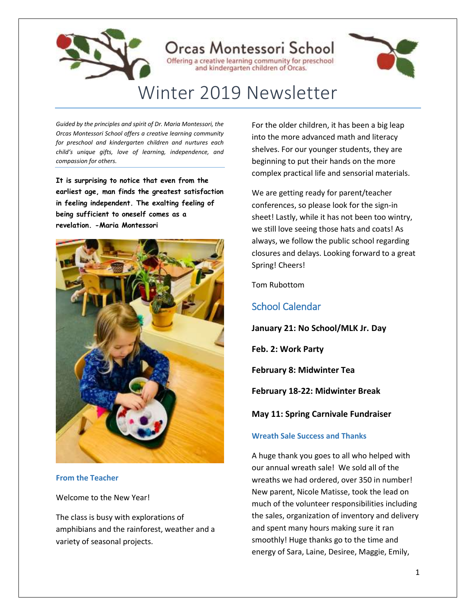

*Guided by the principles and spirit of Dr. Maria Montessori, the Orcas Montessori School offers a creative learning community for preschool and kindergarten children and nurtures each child's unique gifts, love of learning, independence, and compassion for others.*

**It is surprising to notice that even from the earliest age, man finds the greatest satisfaction in feeling independent. The exalting feeling of being sufficient to oneself comes as a revelation. -Maria Montessori**



**From the Teacher**

Welcome to the New Year!

The class is busy with explorations of amphibians and the rainforest, weather and a variety of seasonal projects.

For the older children, it has been a big leap into the more advanced math and literacy shelves. For our younger students, they are beginning to put their hands on the more complex practical life and sensorial materials.

We are getting ready for parent/teacher conferences, so please look for the sign-in sheet! Lastly, while it has not been too wintry, we still love seeing those hats and coats! As always, we follow the public school regarding closures and delays. Looking forward to a great Spring! Cheers!

Tom Rubottom

### School Calendar

**January 21: No School/MLK Jr. Day**

**Feb. 2: Work Party** 

**February 8: Midwinter Tea**

**February 18-22: Midwinter Break**

**May 11: Spring Carnivale Fundraiser**

### **Wreath Sale Success and Thanks**

A huge thank you goes to all who helped with our annual wreath sale! We sold all of the wreaths we had ordered, over 350 in number! New parent, Nicole Matisse, took the lead on much of the volunteer responsibilities including the sales, organization of inventory and delivery and spent many hours making sure it ran smoothly! Huge thanks go to the time and energy of Sara, Laine, Desiree, Maggie, Emily,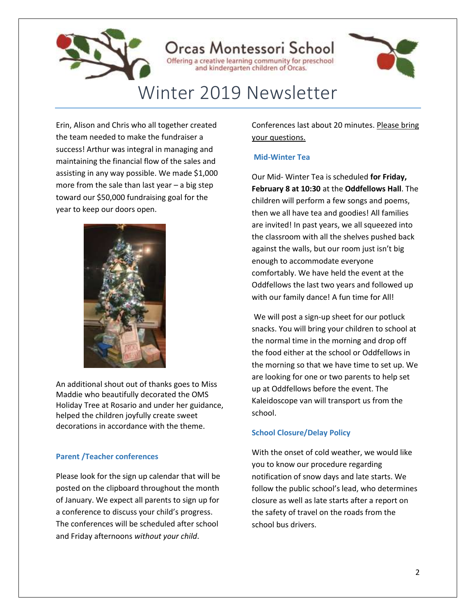

Erin, Alison and Chris who all together created the team needed to make the fundraiser a success! Arthur was integral in managing and maintaining the financial flow of the sales and assisting in any way possible. We made \$1,000 more from the sale than last year – a big step toward our \$50,000 fundraising goal for the year to keep our doors open.



An additional shout out of thanks goes to Miss Maddie who beautifully decorated the OMS Holiday Tree at Rosario and under her guidance, helped the children joyfully create sweet decorations in accordance with the theme.

### **Parent /Teacher conferences**

Please look for the sign up calendar that will be posted on the clipboard throughout the month of January. We expect all parents to sign up for a conference to discuss your child's progress. The conferences will be scheduled after school and Friday afternoons *without your child*.

Conferences last about 20 minutes. Please bring your questions.

### **Mid-Winter Tea**

Our Mid- Winter Tea is scheduled **for Friday, February 8 at 10:30** at the **Oddfellows Hall**. The children will perform a few songs and poems, then we all have tea and goodies! All families are invited! In past years, we all squeezed into the classroom with all the shelves pushed back against the walls, but our room just isn't big enough to accommodate everyone comfortably. We have held the event at the Oddfellows the last two years and followed up with our family dance! A fun time for All!

We will post a sign-up sheet for our potluck snacks. You will bring your children to school at the normal time in the morning and drop off the food either at the school or Oddfellows in the morning so that we have time to set up. We are looking for one or two parents to help set up at Oddfellows before the event. The Kaleidoscope van will transport us from the school.

### **School Closure/Delay Policy**

With the onset of cold weather, we would like you to know our procedure regarding notification of snow days and late starts. We follow the public school's lead, who determines closure as well as late starts after a report on the safety of travel on the roads from the school bus drivers.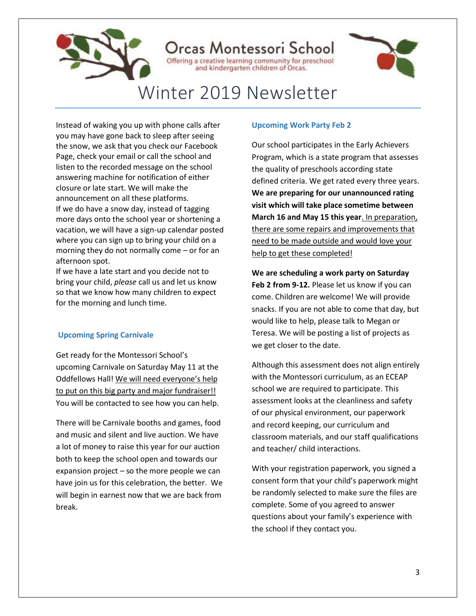

Instead of waking you up with phone calls after you may have gone back to sleep after seeing the snow, we ask that you check our Facebook Page, check your email or call the school and listen to the recorded message on the school answering machine for notification of either closure or late start. We will make the announcement on all these platforms. If we do have a snow day, instead of tagging more days onto the school year or shortening a vacation, we will have a sign-up calendar posted where you can sign up to bring your child on a morning they do not normally come – or for an afternoon spot.

If we have a late start and you decide not to bring your child, *please* call us and let us know so that we know how many children to expect for the morning and lunch time.

### **Upcoming Spring Carnivale**

Get ready for the Montessori School's upcoming Carnivale on Saturday May 11 at the Oddfellows Hall! We will need everyone's help to put on this big party and major fundraiser!! You will be contacted to see how you can help.

There will be Carnivale booths and games, food and music and silent and live auction. We have a lot of money to raise this year for our auction both to keep the school open and towards our expansion project – so the more people we can have join us for this celebration, the better. We will begin in earnest now that we are back from break.

### **Upcoming Work Party Feb 2**

Our school participates in the Early Achievers Program, which is a state program that assesses the quality of preschools according state defined criteria. We get rated every three years. **We are preparing for our unannounced rating visit which will take place sometime between March 16 and May 15 this year**. In preparation, there are some repairs and improvements that need to be made outside and would love your help to get these completed!

**We are scheduling a work party on Saturday Feb 2 from 9-12.** Please let us know if you can come. Children are welcome! We will provide snacks. If you are not able to come that day, but would like to help, please talk to Megan or Teresa. We will be posting a list of projects as we get closer to the date.

Although this assessment does not align entirely with the Montessori curriculum, as an ECEAP school we are required to participate. This assessment looks at the cleanliness and safety of our physical environment, our paperwork and record keeping, our curriculum and classroom materials, and our staff qualifications and teacher/ child interactions.

With your registration paperwork, you signed a consent form that your child's paperwork might be randomly selected to make sure the files are complete. Some of you agreed to answer questions about your family's experience with the school if they contact you.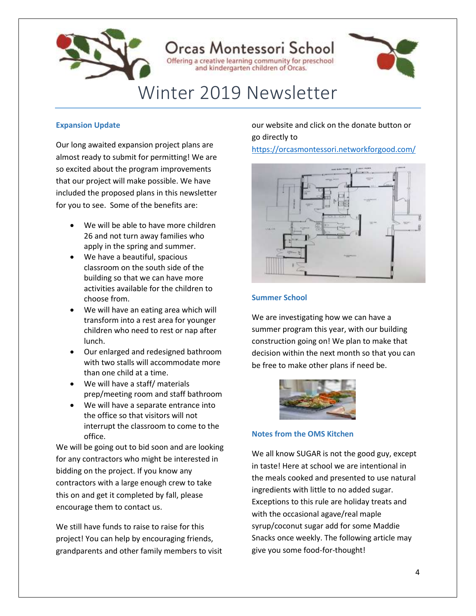

### Drcas Montessori School Offering a creative learning community for preschool

# Winter 2019 Newsletter

and kindergarten children of Orcas.

### **Expansion Update**

Our long awaited expansion project plans are almost ready to submit for permitting! We are so excited about the program improvements that our project will make possible. We have included the proposed plans in this newsletter for you to see. Some of the benefits are:

- We will be able to have more children 26 and not turn away families who apply in the spring and summer.
- We have a beautiful, spacious classroom on the south side of the building so that we can have more activities available for the children to choose from.
- We will have an eating area which will transform into a rest area for younger children who need to rest or nap after lunch.
- Our enlarged and redesigned bathroom with two stalls will accommodate more than one child at a time.
- We will have a staff/ materials prep/meeting room and staff bathroom
- We will have a separate entrance into the office so that visitors will not interrupt the classroom to come to the office.

We will be going out to bid soon and are looking for any contractors who might be interested in bidding on the project. If you know any contractors with a large enough crew to take this on and get it completed by fall, please encourage them to contact us.

We still have funds to raise to raise for this project! You can help by encouraging friends, grandparents and other family members to visit our website and click on the donate button or go directly to

<https://orcasmontessori.networkforgood.com/>



### **Summer School**

We are investigating how we can have a summer program this year, with our building construction going on! We plan to make that decision within the next month so that you can be free to make other plans if need be.



**Notes from the OMS Kitchen**

We all know SUGAR is not the good guy, except in taste! Here at school we are intentional in the meals cooked and presented to use natural ingredients with little to no added sugar. Exceptions to this rule are holiday treats and with the occasional agave/real maple syrup/coconut sugar add for some Maddie Snacks once weekly. The following article may give you some food-for-thought!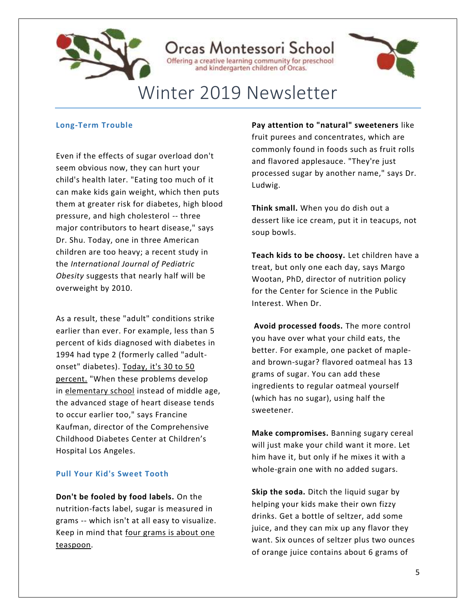

### Orcas Montessori School

Offering a creative learning community for preschool and kindergarten children of Orcas.



## Winter 2019 Newsletter

### **Long-Term Trouble**

Even if the effects of sugar overload don't seem obvious now, they can hurt your child's health later. "Eating too much of it can make kids gain weight, which then puts them at greater risk for diabetes, high blood pressure, and high cholesterol -- three major contributors to heart disease," says Dr. Shu. Today, one in three American children are too heavy; a recent study in the *International Journal of Pediatric Obesity* suggests that nearly half will be overweight by 2010.

As a result, these "adult" conditions strike earlier than ever. For example, less than 5 percent of kids diagnosed with diabetes in 1994 had type 2 (formerly called "adultonset" diabetes). Today, it's 30 to 50 percent. "When these problems develop in [elementary school](https://www.parents.com/kids/education/elementary-school/) instead of middle age, the advanced stage of heart disease tends to occur earlier too," says Francine Kaufman, director of the Comprehensive Childhood Diabetes Center at Children's Hospital Los Angeles.

### **Pull Your Kid's Sweet Tooth**

**Don't be fooled by food labels.** On the nutrition-facts label, sugar is measured in grams -- which isn't at all easy to visualize. Keep in mind that four grams is about one teaspoon.

**Pay attention to "natural" sweeteners** like fruit purees and concentrates, which are commonly found in foods such as fruit rolls and flavored applesauce. "They're just processed sugar by another name," says Dr. Ludwig.

**Think small.** When you do dish out a dessert like ice cream, put it in teacups, not soup bowls.

**Teach kids to be choosy.** Let children have a treat, but only one each day, says Margo Wootan, PhD, director of nutrition policy for the Center for Science in the Public Interest. When Dr.

**Avoid processed foods.** The more control you have over what your child eats, the better. For example, one packet of mapleand brown-sugar? flavored oatmeal has 13 grams of sugar. You can add these ingredients to regular oatmeal yourself (which has no sugar), using half the sweetener.

**Make compromises.** Banning sugary cereal will just make your child want it more. Let him have it, but only if he mixes it with a whole-grain one with no added sugars.

**Skip the soda.** Ditch the liquid sugar by helping your kids make their own fizzy drinks. Get a bottle of seltzer, add some juice, and they can mix up any flavor they want. Six ounces of seltzer plus two ounces of orange juice contains about 6 grams of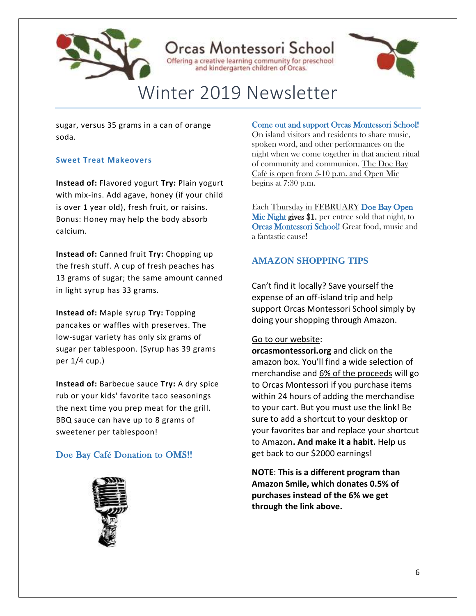

### Drcas Montessori School Offering a creative learning community for preschool

and kindergarten children of Orcas.



# Winter 2019 Newsletter

sugar, versus 35 grams in a can of orange soda.

### **Sweet Treat Makeovers**

**Instead of:** Flavored yogurt **Try:** Plain yogurt with mix-ins. Add agave, honey (if your child is over 1 year old), fresh fruit, or raisins. Bonus: Honey may help the body absorb calcium.

**Instead of:** Canned fruit **Try:** Chopping up the fresh stuff. A cup of fresh peaches has 13 grams of sugar; the same amount canned in light syrup has 33 grams.

**Instead of:** Maple syrup **Try:** Topping pancakes or waffles with preserves. The low-sugar variety has only six grams of sugar per tablespoon. (Syrup has 39 grams per 1/4 cup.)

**Instead of:** Barbecue sauce **Try:** A dry spice rub or your kids' favorite taco seasonings the next time you prep meat for the grill. BBQ sauce can have up to 8 grams of sweetener per tablespoon!

### Doe Bay Café Donation to OMS!!



### Come out and support Orcas Montessori School!

On island visitors and residents to share music, spoken word, and other performances on the night when we come together in that ancient ritual of community and communion. The Doe Bay Café is open from 5-10 p.m. and Open Mic begins at 7:30 p.m.

Each Thursday in FEBRUARY Doe Bay Open Mic Night gives \$1. per entree sold that night, to Orcas Montessori School! Great food, music and a fantastic cause!

### **AMAZON SHOPPING TIPS**

Can't find it locally? Save yourself the expense of an off-island trip and help support Orcas Montessori School simply by doing your shopping through Amazon.

### Go to our website:

**[orcasmontessori.org](http://orcasmontessori.org/)** and click on the amazon box. You'll find a wide selection of merchandise and 6% of the proceeds will go to Orcas Montessori if you purchase items within 24 hours of adding the merchandise to your cart. But you must use the link! Be sure to add a shortcut to your desktop or your favorites bar and replace your shortcut to Amazon**. And make it a habit.** Help us get back to our \$2000 earnings!

**NOTE**: **This is a different program than Amazon Smile, which donates 0.5% of purchases instead of the 6% we get through the link above.**